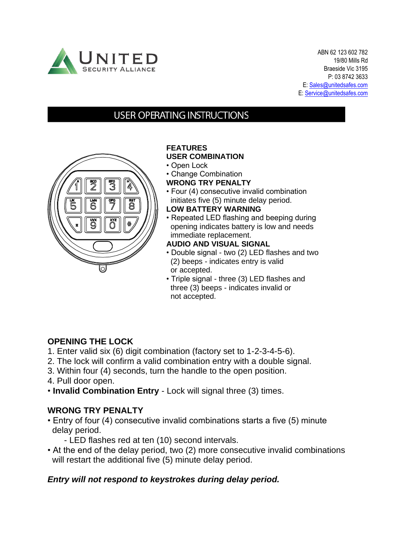

ABN 62 123 602 782 19/80 Mills Rd Braeside Vic 3195 P: 03 8742 3633 E[: Sales@unitedsafes.com](mailto:Sales@unitedsafes.com) E: [Service@unitedsafes.com](mailto:Service@unitedsafes.com)

# **USER OPERATING INSTRUCTIONS**



# **FEATURES**

#### **USER COMBINATION**

- Open Lock
- Change Combination
- **WRONG TRY PENALTY**
- Four (4) consecutive invalid combination initiates five (5) minute delay period.
- **LOW BATTERY WARNING**
- Repeated LED flashing and beeping during opening indicates battery is low and needs immediate replacement.
- **AUDIO AND VISUAL SIGNAL**
- Double signal two (2) LED flashes and two (2) beeps - indicates entry is valid or accepted.
- Triple signal three (3) LED flashes and three (3) beeps - indicates invalid or not accepted.

#### **OPENING THE LOCK**

- 1. Enter valid six (6) digit combination (factory set to 1-2-3-4-5-6).
- 2. The lock will confirm a valid combination entry with a double signal.
- 3. Within four (4) seconds, turn the handle to the open position.
- 4. Pull door open.
- **Invalid Combination Entry**  Lock will signal three (3) times.

#### **WRONG TRY PENALTY**

- Entry of four (4) consecutive invalid combinations starts a five (5) minute delay period.
	- LED flashes red at ten (10) second intervals.
- At the end of the delay period, two (2) more consecutive invalid combinations will restart the additional five (5) minute delay period.

# *Entry will not respond to keystrokes during delay period.*